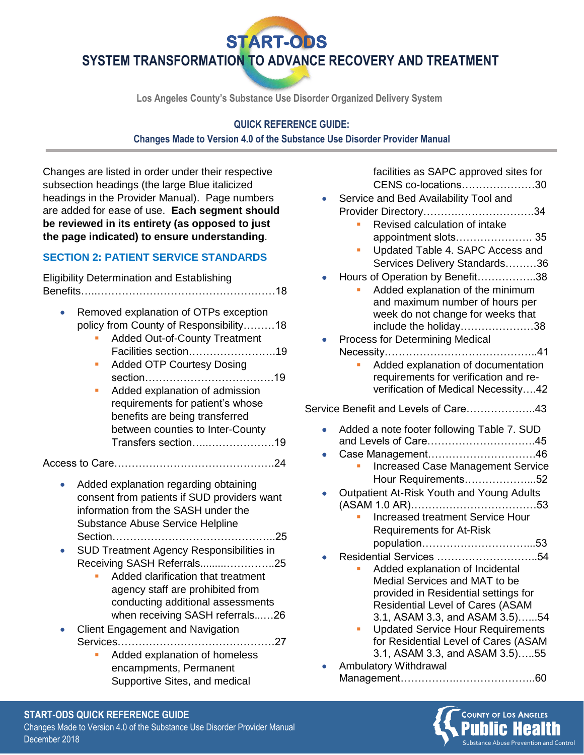**START-ODS** 

**SYSTEM TRANSFORMATION TO ADVANCE RECOVERY AND TREATMENT**

**Los Angeles County's Substance Use Disorder Organized Delivery System**

# **QUICK REFERENCE GUIDE: Changes Made to Version 4.0 of the Substance Use Disorder Provider Manual**

Changes are listed in order under their respective subsection headings (the large Blue italicized headings in the Provider Manual). Page numbers are added for ease of use. **Each segment should be reviewed in its entirety (as opposed to just the page indicated) to ensure understanding**.

### **SECTION 2: PATIENT SERVICE STANDARDS**

Eligibility Determination and Establishing Benefits…..……………………………………………18

- Removed explanation of OTPs exception policy from County of Responsibility………18
	- **Added Out-of-County Treatment** Facilities section…………………….19
	- Added OTP Courtesy Dosing section……………………………….19
	- Added explanation of admission requirements for patient's whose benefits are being transferred between counties to Inter-County Transfers section…..……………….19

Access to Care……………………………………….24

- Added explanation regarding obtaining consent from patients if SUD providers want information from the SASH under the Substance Abuse Service Helpline Section………………………………………..25
- SUD Treatment Agency Responsibilities in Receiving SASH Referrals.........…………..25
	- Added clarification that treatment agency staff are prohibited from conducting additional assessments when receiving SASH referrals...…26
- Client Engagement and Navigation Services………………………………………27
	- Added explanation of homeless encampments, Permanent Supportive Sites, and medical

facilities as SAPC approved sites for CENS co-locations…………………30 • Service and Bed Availability Tool and Provider Directory……….………………….34 Revised calculation of intake appointment slots…………………. 35 Updated Table 4. SAPC Access and Services Delivery Standards………36 • Hours of Operation by Benefit……………..38 Added explanation of the minimum and maximum number of hours per week do not change for weeks that include the holiday…………………38 • Process for Determining Medical Necessity……………………………………..41 Added explanation of documentation requirements for verification and reverification of Medical Necessity….42 Service Benefit and Levels of Care………………..43 • Added a note footer following Table 7. SUD and Levels of Care………………………….45 • Case Management………………………….46 Increased Case Management Service Hour Requirements………………...52 • Outpatient At-Risk Youth and Young Adults (ASAM 1.0 AR)………………………………53 Increased treatment Service Hour Requirements for At-Risk population…………………………...53 • Residential Services ………………………..54 Added explanation of Incidental Medial Services and MAT to be provided in Residential settings for Residential Level of Cares (ASAM 3.1, ASAM 3.3, and ASAM 3.5)…...54 **Updated Service Hour Requirements** for Residential Level of Cares (ASAM 3.1, ASAM 3.3, and ASAM 3.5)…..55

• Ambulatory Withdrawal Management…………….…………………..60



# **START-ODS QUICK REFERENCE GUIDE** Changes Made to Version 4.0 of the Substance Use Disorder Provider Manual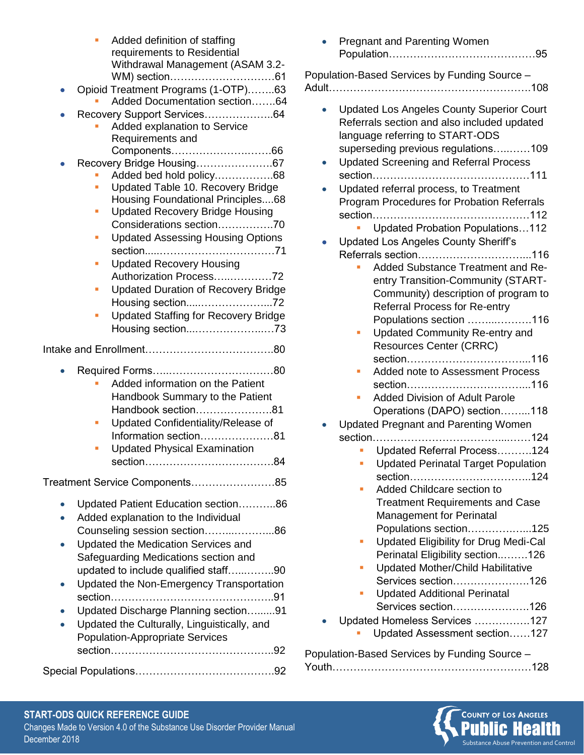|                                | Added definition of staffing<br>requirements to Residential<br>Withdrawal Management (ASAM 3.2-<br>Opioid Treatment Programs (1-OTP)63<br>Added Documentation section64<br>Recovery Support Services64<br>Added explanation to Service<br>Requirements and                    |
|--------------------------------|-------------------------------------------------------------------------------------------------------------------------------------------------------------------------------------------------------------------------------------------------------------------------------|
|                                | Recovery Bridge Housing67                                                                                                                                                                                                                                                     |
|                                | Added bed hold policy68                                                                                                                                                                                                                                                       |
|                                | Updated Table 10. Recovery Bridge<br>Housing Foundational Principles68                                                                                                                                                                                                        |
|                                | <b>Updated Recovery Bridge Housing</b><br>П                                                                                                                                                                                                                                   |
|                                | Considerations section70                                                                                                                                                                                                                                                      |
|                                | <b>Updated Assessing Housing Options</b><br>■                                                                                                                                                                                                                                 |
|                                | <b>Updated Recovery Housing</b><br>П                                                                                                                                                                                                                                          |
|                                | Authorization Process72                                                                                                                                                                                                                                                       |
|                                | <b>Updated Duration of Recovery Bridge</b><br>П<br>Housing section72                                                                                                                                                                                                          |
|                                | <b>Updated Staffing for Recovery Bridge</b>                                                                                                                                                                                                                                   |
|                                |                                                                                                                                                                                                                                                                               |
|                                |                                                                                                                                                                                                                                                                               |
|                                | Added information on the Patient<br>Handbook Summary to the Patient<br>Handbook section81<br>Updated Confidentiality/Release of<br>Information section81<br><b>Updated Physical Examination</b>                                                                               |
| Treatment Service Components85 |                                                                                                                                                                                                                                                                               |
|                                | Updated Patient Education section86<br>Added explanation to the Individual<br>Counseling session section86<br>Updated the Medication Services and<br>Safeguarding Medications section and<br>updated to include qualified staff90<br>Updated the Non-Emergency Transportation |
|                                |                                                                                                                                                                                                                                                                               |
|                                | Updated Discharge Planning section91<br>Updated the Culturally, Linguistically, and<br><b>Population-Appropriate Services</b>                                                                                                                                                 |
|                                |                                                                                                                                                                                                                                                                               |
|                                |                                                                                                                                                                                                                                                                               |

| <b>Pregnant and Parenting Women</b>                                                             |
|-------------------------------------------------------------------------------------------------|
| Population-Based Services by Funding Source -                                                   |
|                                                                                                 |
| <b>Updated Los Angeles County Superior Court</b><br>Referrals section and also included updated |
|                                                                                                 |
| language referring to START-ODS                                                                 |
| superseding previous regulations109                                                             |
| <b>Updated Screening and Referral Process</b>                                                   |
|                                                                                                 |
| Updated referral process, to Treatment                                                          |
| Program Procedures for Probation Referrals                                                      |
|                                                                                                 |
| <b>Updated Probation Populations112</b>                                                         |
| <b>Updated Los Angeles County Sheriff's</b>                                                     |
|                                                                                                 |
| Added Substance Treatment and Re-                                                               |
| entry Transition-Community (START-                                                              |
| Community) description of program to                                                            |
| <b>Referral Process for Re-entry</b>                                                            |
| Populations section 116                                                                         |
| <b>Updated Community Re-entry and</b>                                                           |
| <b>Resources Center (CRRC)</b>                                                                  |
|                                                                                                 |
| Added note to Assessment Process                                                                |
|                                                                                                 |
| <b>Added Division of Adult Parole</b>                                                           |
| Operations (DAPO) section118                                                                    |
| <b>Updated Pregnant and Parenting Women</b>                                                     |
|                                                                                                 |
| Updated Referral Process124                                                                     |
| • Updated Perinatal Target Population                                                           |
|                                                                                                 |
| <b>Added Childcare section to</b>                                                               |
| <b>Treatment Requirements and Case</b>                                                          |
| <b>Management for Perinatal</b>                                                                 |
| Populations section125                                                                          |
| Updated Eligibility for Drug Medi-Cal                                                           |
| Perinatal Eligibility section126                                                                |
| <b>Updated Mother/Child Habilitative</b>                                                        |
| Services section126                                                                             |
| <b>Updated Additional Perinatal</b><br>Services section126                                      |
|                                                                                                 |
| Updated Homeless Services 127                                                                   |
| Updated Assessment section127                                                                   |
| Population-Based Services by Funding Source -                                                   |
|                                                                                                 |